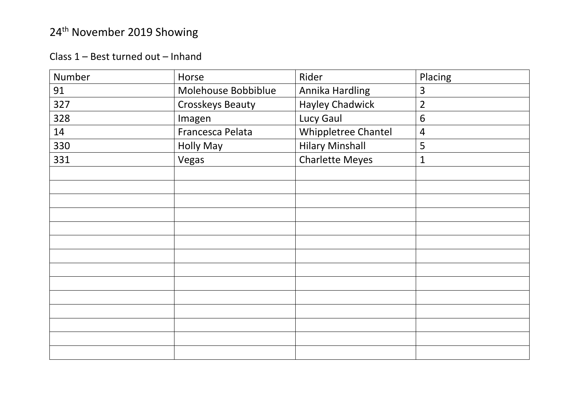Class 1 – Best turned out – Inhand

| Number | Horse                   | Rider                  | Placing        |
|--------|-------------------------|------------------------|----------------|
| 91     | Molehouse Bobbiblue     | Annika Hardling        | 3              |
| 327    | <b>Crosskeys Beauty</b> | <b>Hayley Chadwick</b> | $\overline{2}$ |
| 328    | Imagen                  | Lucy Gaul              | $6\,$          |
| 14     | Francesca Pelata        | Whippletree Chantel    | $\overline{4}$ |
| 330    | <b>Holly May</b>        | <b>Hilary Minshall</b> | 5              |
| 331    | Vegas                   | <b>Charlette Meyes</b> | $\mathbf{1}$   |
|        |                         |                        |                |
|        |                         |                        |                |
|        |                         |                        |                |
|        |                         |                        |                |
|        |                         |                        |                |
|        |                         |                        |                |
|        |                         |                        |                |
|        |                         |                        |                |
|        |                         |                        |                |
|        |                         |                        |                |
|        |                         |                        |                |
|        |                         |                        |                |
|        |                         |                        |                |
|        |                         |                        |                |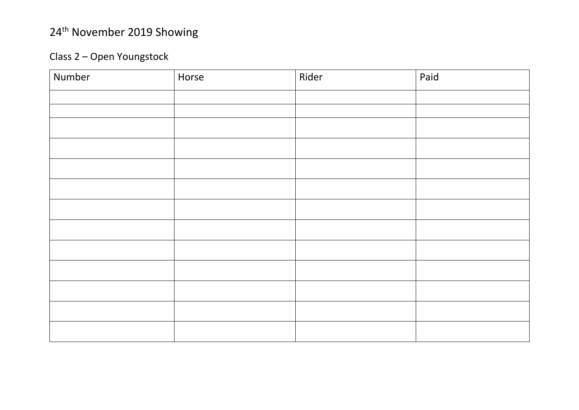#### Class 2 – Open Youngstock

| Number | Horse | Rider | Paid |
|--------|-------|-------|------|
|        |       |       |      |
|        |       |       |      |
|        |       |       |      |
|        |       |       |      |
|        |       |       |      |
|        |       |       |      |
|        |       |       |      |
|        |       |       |      |
|        |       |       |      |
|        |       |       |      |
|        |       |       |      |
|        |       |       |      |
|        |       |       |      |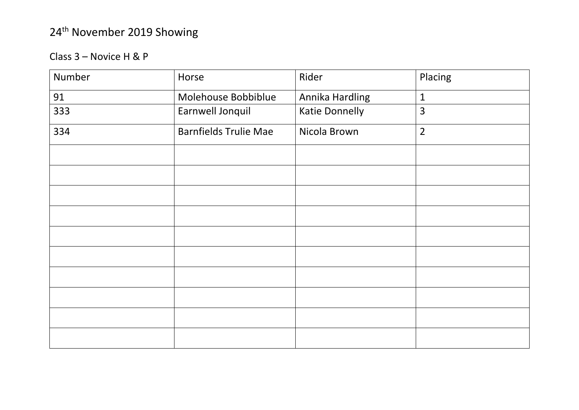#### Class 3 – Novice H & P

| Number | Horse                        | Rider                 | Placing        |
|--------|------------------------------|-----------------------|----------------|
| 91     | Molehouse Bobbiblue          | Annika Hardling       | $\mathbf{1}$   |
| 333    | Earnwell Jonquil             | <b>Katie Donnelly</b> | 3              |
| 334    | <b>Barnfields Trulie Mae</b> | Nicola Brown          | $\overline{2}$ |
|        |                              |                       |                |
|        |                              |                       |                |
|        |                              |                       |                |
|        |                              |                       |                |
|        |                              |                       |                |
|        |                              |                       |                |
|        |                              |                       |                |
|        |                              |                       |                |
|        |                              |                       |                |
|        |                              |                       |                |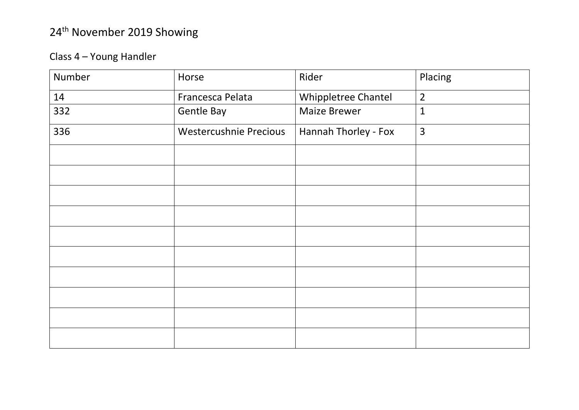#### Class 4 – Young Handler

| Number | Horse                  | Rider                | Placing        |
|--------|------------------------|----------------------|----------------|
| 14     | Francesca Pelata       | Whippletree Chantel  | $\overline{2}$ |
| 332    | Gentle Bay             | <b>Maize Brewer</b>  | $\mathbf{1}$   |
| 336    | Westercushnie Precious | Hannah Thorley - Fox | $\overline{3}$ |
|        |                        |                      |                |
|        |                        |                      |                |
|        |                        |                      |                |
|        |                        |                      |                |
|        |                        |                      |                |
|        |                        |                      |                |
|        |                        |                      |                |
|        |                        |                      |                |
|        |                        |                      |                |
|        |                        |                      |                |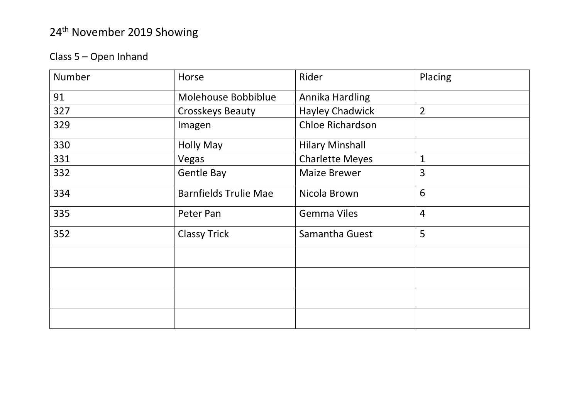#### Class 5 – Open Inhand

| <b>Number</b> | Horse                        | Rider                  | Placing         |
|---------------|------------------------------|------------------------|-----------------|
| 91            | Molehouse Bobbiblue          | Annika Hardling        |                 |
| 327           | <b>Crosskeys Beauty</b>      | <b>Hayley Chadwick</b> | $\overline{2}$  |
| 329           | Imagen                       | Chloe Richardson       |                 |
| 330           | <b>Holly May</b>             | <b>Hilary Minshall</b> |                 |
| 331           | Vegas                        | <b>Charlette Meyes</b> | $\mathbf{1}$    |
| 332           | Gentle Bay                   | <b>Maize Brewer</b>    | 3               |
| 334           | <b>Barnfields Trulie Mae</b> | Nicola Brown           | $6\phantom{1}6$ |
| 335           | Peter Pan                    | <b>Gemma Viles</b>     | $\overline{4}$  |
| 352           | <b>Classy Trick</b>          | Samantha Guest         | 5               |
|               |                              |                        |                 |
|               |                              |                        |                 |
|               |                              |                        |                 |
|               |                              |                        |                 |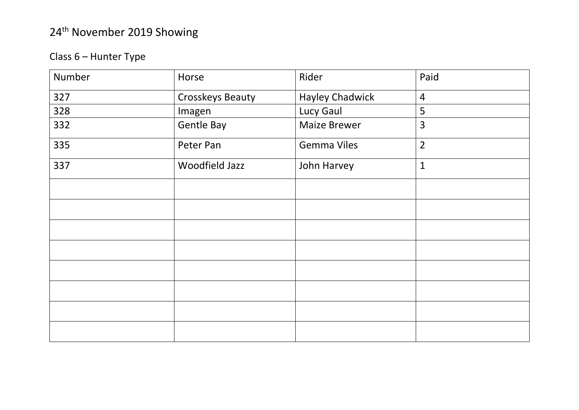#### Class 6 – Hunter Type

| Number | Horse                   | Rider                  | Paid           |
|--------|-------------------------|------------------------|----------------|
| 327    | <b>Crosskeys Beauty</b> | <b>Hayley Chadwick</b> | $\overline{4}$ |
| 328    | Imagen                  | Lucy Gaul              | 5              |
| 332    | Gentle Bay              | <b>Maize Brewer</b>    | 3              |
| 335    | Peter Pan               | <b>Gemma Viles</b>     | $\overline{2}$ |
| 337    | Woodfield Jazz          | John Harvey            | $\mathbf{1}$   |
|        |                         |                        |                |
|        |                         |                        |                |
|        |                         |                        |                |
|        |                         |                        |                |
|        |                         |                        |                |
|        |                         |                        |                |
|        |                         |                        |                |
|        |                         |                        |                |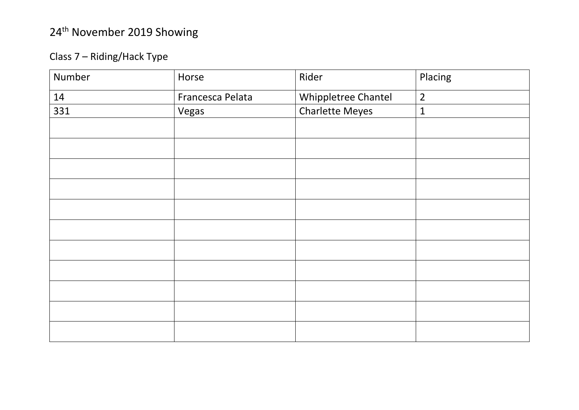#### Class 7 – Riding/Hack Type

| Number | Horse            | Rider                  | Placing        |
|--------|------------------|------------------------|----------------|
| 14     | Francesca Pelata | Whippletree Chantel    | $\overline{2}$ |
| 331    | Vegas            | <b>Charlette Meyes</b> | $\mathbf{1}$   |
|        |                  |                        |                |
|        |                  |                        |                |
|        |                  |                        |                |
|        |                  |                        |                |
|        |                  |                        |                |
|        |                  |                        |                |
|        |                  |                        |                |
|        |                  |                        |                |
|        |                  |                        |                |
|        |                  |                        |                |
|        |                  |                        |                |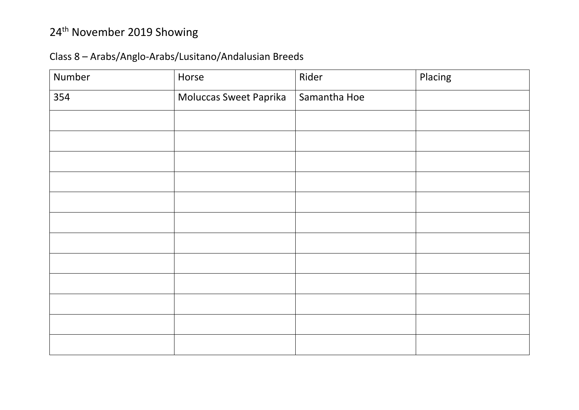# 24th November 2019 Showing

#### Class 8 – Arabs/Anglo-Arabs/Lusitano/Andalusian Breeds

| Number | Horse                  | Rider        | Placing |
|--------|------------------------|--------------|---------|
| 354    | Moluccas Sweet Paprika | Samantha Hoe |         |
|        |                        |              |         |
|        |                        |              |         |
|        |                        |              |         |
|        |                        |              |         |
|        |                        |              |         |
|        |                        |              |         |
|        |                        |              |         |
|        |                        |              |         |
|        |                        |              |         |
|        |                        |              |         |
|        |                        |              |         |
|        |                        |              |         |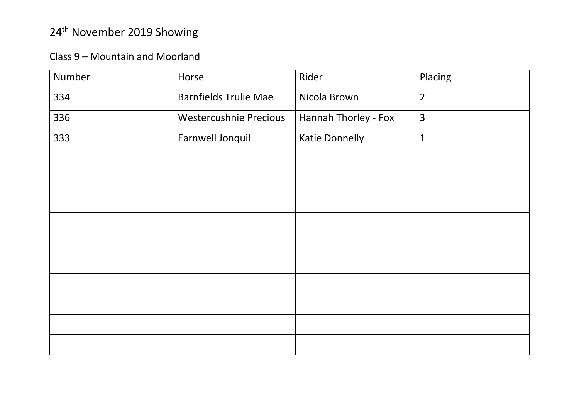#### Class 9 – Mountain and Moorland

| Number | Horse                         | Rider                 | Placing        |
|--------|-------------------------------|-----------------------|----------------|
| 334    | <b>Barnfields Trulie Mae</b>  | Nicola Brown          | $\overline{2}$ |
| 336    | <b>Westercushnie Precious</b> | Hannah Thorley - Fox  | $\overline{3}$ |
| 333    | Earnwell Jonquil              | <b>Katie Donnelly</b> | $\mathbf{1}$   |
|        |                               |                       |                |
|        |                               |                       |                |
|        |                               |                       |                |
|        |                               |                       |                |
|        |                               |                       |                |
|        |                               |                       |                |
|        |                               |                       |                |
|        |                               |                       |                |
|        |                               |                       |                |
|        |                               |                       |                |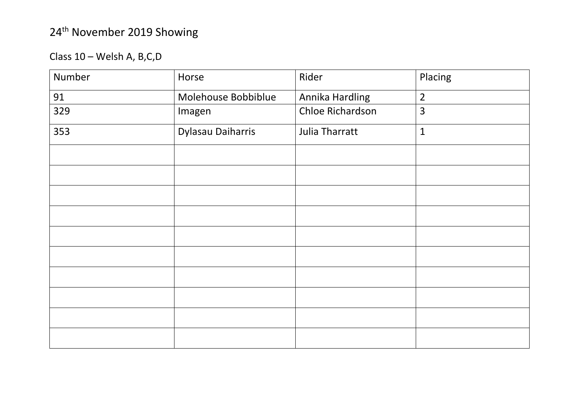Class 10 – Welsh A, B,C,D

| Number | Horse               | Rider            | Placing        |
|--------|---------------------|------------------|----------------|
| 91     | Molehouse Bobbiblue | Annika Hardling  | $\overline{2}$ |
| 329    | Imagen              | Chloe Richardson | $\overline{3}$ |
| 353    | Dylasau Daiharris   | Julia Tharratt   | $\mathbf{1}$   |
|        |                     |                  |                |
|        |                     |                  |                |
|        |                     |                  |                |
|        |                     |                  |                |
|        |                     |                  |                |
|        |                     |                  |                |
|        |                     |                  |                |
|        |                     |                  |                |
|        |                     |                  |                |
|        |                     |                  |                |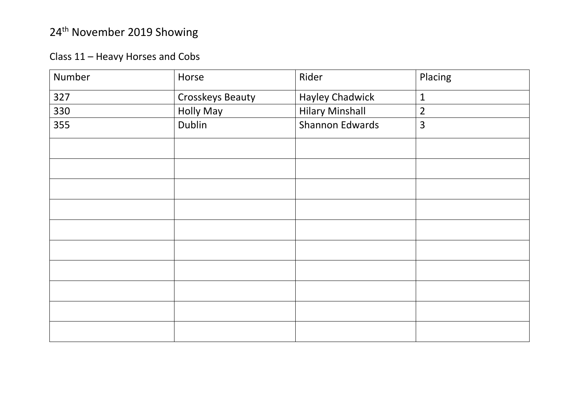Class 11 – Heavy Horses and Cobs

| Number | Horse            | Rider                  | Placing        |
|--------|------------------|------------------------|----------------|
| 327    | Crosskeys Beauty | <b>Hayley Chadwick</b> | $\mathbf{1}$   |
| 330    | <b>Holly May</b> | <b>Hilary Minshall</b> | $\overline{2}$ |
| 355    | Dublin           | Shannon Edwards        | $\overline{3}$ |
|        |                  |                        |                |
|        |                  |                        |                |
|        |                  |                        |                |
|        |                  |                        |                |
|        |                  |                        |                |
|        |                  |                        |                |
|        |                  |                        |                |
|        |                  |                        |                |
|        |                  |                        |                |
|        |                  |                        |                |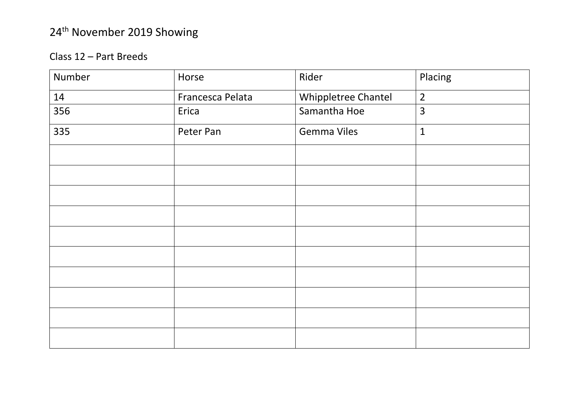#### Class 12 – Part Breeds

| Number | Horse            | Rider               | Placing        |
|--------|------------------|---------------------|----------------|
| 14     | Francesca Pelata | Whippletree Chantel | $\overline{2}$ |
| 356    | Erica            | Samantha Hoe        | 3              |
| 335    | Peter Pan        | <b>Gemma Viles</b>  | $\mathbf{1}$   |
|        |                  |                     |                |
|        |                  |                     |                |
|        |                  |                     |                |
|        |                  |                     |                |
|        |                  |                     |                |
|        |                  |                     |                |
|        |                  |                     |                |
|        |                  |                     |                |
|        |                  |                     |                |
|        |                  |                     |                |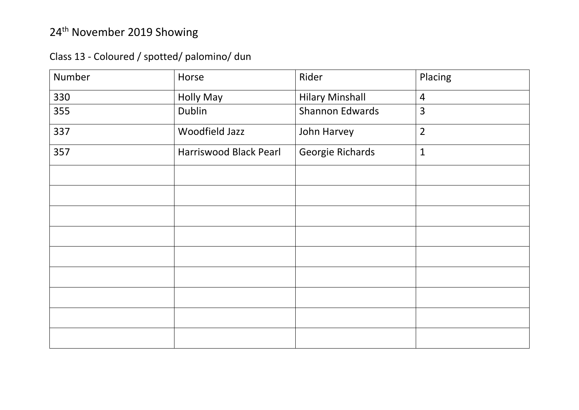Class 13 - Coloured / spotted/ palomino/ dun

| Number | Horse                  | Rider                  | Placing        |
|--------|------------------------|------------------------|----------------|
| 330    | <b>Holly May</b>       | <b>Hilary Minshall</b> | $\overline{4}$ |
| 355    | Dublin                 | <b>Shannon Edwards</b> | 3              |
| 337    | Woodfield Jazz         | John Harvey            | $\overline{2}$ |
| 357    | Harriswood Black Pearl | Georgie Richards       | $\mathbf{1}$   |
|        |                        |                        |                |
|        |                        |                        |                |
|        |                        |                        |                |
|        |                        |                        |                |
|        |                        |                        |                |
|        |                        |                        |                |
|        |                        |                        |                |
|        |                        |                        |                |
|        |                        |                        |                |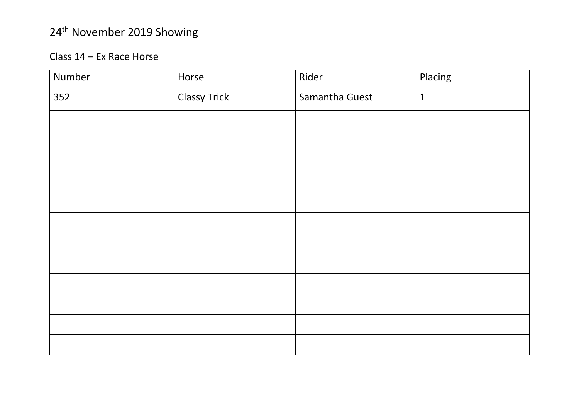#### Class 14 – Ex Race Horse

| Number | Horse               | Rider          | Placing      |
|--------|---------------------|----------------|--------------|
| 352    | <b>Classy Trick</b> | Samantha Guest | $\mathbf{1}$ |
|        |                     |                |              |
|        |                     |                |              |
|        |                     |                |              |
|        |                     |                |              |
|        |                     |                |              |
|        |                     |                |              |
|        |                     |                |              |
|        |                     |                |              |
|        |                     |                |              |
|        |                     |                |              |
|        |                     |                |              |
|        |                     |                |              |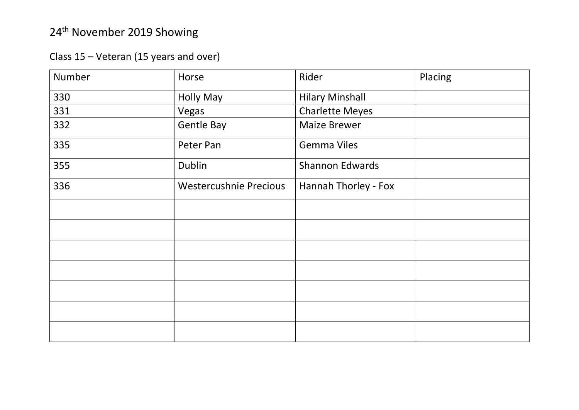Class 15 – Veteran (15 years and over)

| Number | Horse                  | Rider                  | Placing |
|--------|------------------------|------------------------|---------|
| 330    | <b>Holly May</b>       | <b>Hilary Minshall</b> |         |
| 331    | Vegas                  | <b>Charlette Meyes</b> |         |
| 332    | <b>Gentle Bay</b>      | <b>Maize Brewer</b>    |         |
| 335    | Peter Pan              | <b>Gemma Viles</b>     |         |
| 355    | Dublin                 | <b>Shannon Edwards</b> |         |
| 336    | Westercushnie Precious | Hannah Thorley - Fox   |         |
|        |                        |                        |         |
|        |                        |                        |         |
|        |                        |                        |         |
|        |                        |                        |         |
|        |                        |                        |         |
|        |                        |                        |         |
|        |                        |                        |         |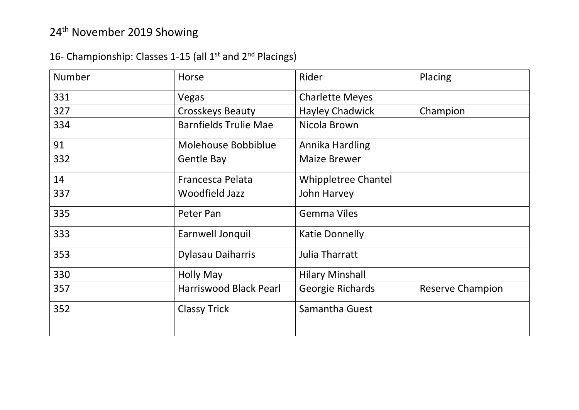#### 16- Championship: Classes 1-15 (all 1<sup>st</sup> and 2<sup>nd</sup> Placings)

| <b>Number</b> | Horse                         | Rider                      | Placing                 |
|---------------|-------------------------------|----------------------------|-------------------------|
| 331           | Vegas                         | <b>Charlette Meyes</b>     |                         |
| 327           | <b>Crosskeys Beauty</b>       | <b>Hayley Chadwick</b>     | Champion                |
| 334           | <b>Barnfields Trulie Mae</b>  | Nicola Brown               |                         |
| 91            | Molehouse Bobbiblue           | Annika Hardling            |                         |
| 332           | <b>Gentle Bay</b>             | <b>Maize Brewer</b>        |                         |
| 14            | Francesca Pelata              | <b>Whippletree Chantel</b> |                         |
| 337           | <b>Woodfield Jazz</b>         | John Harvey                |                         |
| 335           | Peter Pan                     | <b>Gemma Viles</b>         |                         |
| 333           | Earnwell Jonquil              | <b>Katie Donnelly</b>      |                         |
| 353           | <b>Dylasau Daiharris</b>      | <b>Julia Tharratt</b>      |                         |
| 330           | <b>Holly May</b>              | <b>Hilary Minshall</b>     |                         |
| 357           | <b>Harriswood Black Pearl</b> | Georgie Richards           | <b>Reserve Champion</b> |
| 352           | <b>Classy Trick</b>           | Samantha Guest             |                         |
|               |                               |                            |                         |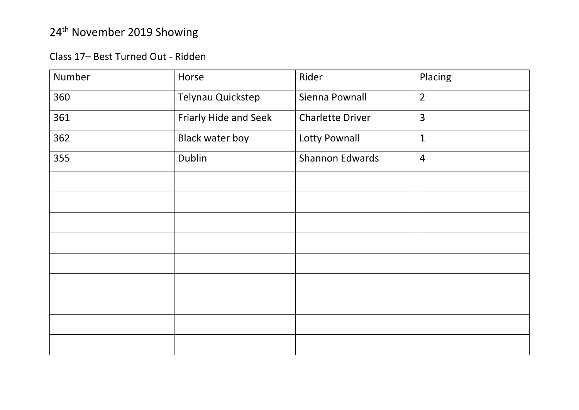#### Class 17– Best Turned Out - Ridden

| Number | Horse                  | Rider                   | Placing        |
|--------|------------------------|-------------------------|----------------|
| 360    | Telynau Quickstep      | Sienna Pownall          | $\overline{2}$ |
| 361    | Friarly Hide and Seek  | <b>Charlette Driver</b> | $\overline{3}$ |
| 362    | <b>Black water boy</b> | Lotty Pownall           | $\mathbf{1}$   |
| 355    | Dublin                 | <b>Shannon Edwards</b>  | $\overline{4}$ |
|        |                        |                         |                |
|        |                        |                         |                |
|        |                        |                         |                |
|        |                        |                         |                |
|        |                        |                         |                |
|        |                        |                         |                |
|        |                        |                         |                |
|        |                        |                         |                |
|        |                        |                         |                |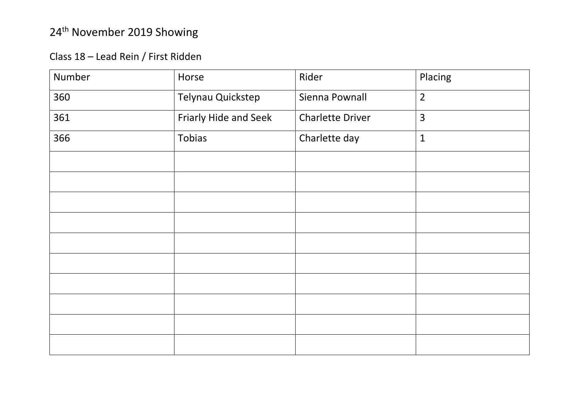Class 18 – Lead Rein / First Ridden

| Number | Horse                 | Rider                   | Placing        |
|--------|-----------------------|-------------------------|----------------|
| 360    | Telynau Quickstep     | Sienna Pownall          | $\overline{2}$ |
| 361    | Friarly Hide and Seek | <b>Charlette Driver</b> | $\overline{3}$ |
| 366    | Tobias                | Charlette day           | $\mathbf{1}$   |
|        |                       |                         |                |
|        |                       |                         |                |
|        |                       |                         |                |
|        |                       |                         |                |
|        |                       |                         |                |
|        |                       |                         |                |
|        |                       |                         |                |
|        |                       |                         |                |
|        |                       |                         |                |
|        |                       |                         |                |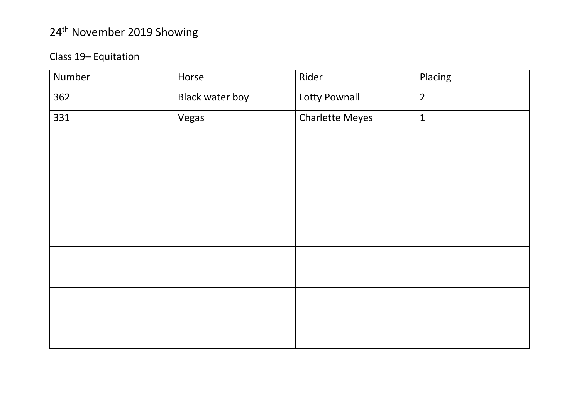#### Class 19– Equitation

| Number | Horse                  | Rider                  | Placing        |
|--------|------------------------|------------------------|----------------|
| 362    | <b>Black water boy</b> | Lotty Pownall          | $\overline{2}$ |
| 331    | Vegas                  | <b>Charlette Meyes</b> | $\mathbf{1}$   |
|        |                        |                        |                |
|        |                        |                        |                |
|        |                        |                        |                |
|        |                        |                        |                |
|        |                        |                        |                |
|        |                        |                        |                |
|        |                        |                        |                |
|        |                        |                        |                |
|        |                        |                        |                |
|        |                        |                        |                |
|        |                        |                        |                |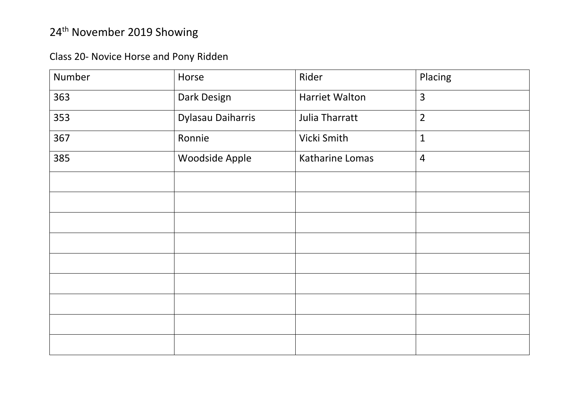Class 20- Novice Horse and Pony Ridden

| Number | Horse             | Rider                 | Placing        |
|--------|-------------------|-----------------------|----------------|
| 363    | Dark Design       | <b>Harriet Walton</b> | $\overline{3}$ |
| 353    | Dylasau Daiharris | Julia Tharratt        | $\overline{2}$ |
| 367    | Ronnie            | Vicki Smith           | $\mathbf{1}$   |
| 385    | Woodside Apple    | Katharine Lomas       | $\overline{4}$ |
|        |                   |                       |                |
|        |                   |                       |                |
|        |                   |                       |                |
|        |                   |                       |                |
|        |                   |                       |                |
|        |                   |                       |                |
|        |                   |                       |                |
|        |                   |                       |                |
|        |                   |                       |                |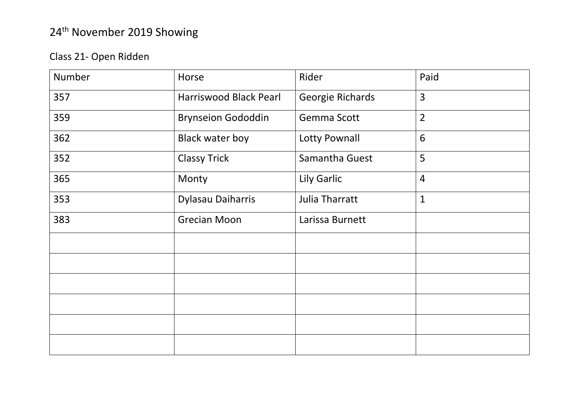#### Class 21- Open Ridden

| Number | Horse                     | Rider              | Paid           |
|--------|---------------------------|--------------------|----------------|
| 357    | Harriswood Black Pearl    | Georgie Richards   | $\overline{3}$ |
| 359    | <b>Brynseion Gododdin</b> | Gemma Scott        | $\overline{2}$ |
| 362    | <b>Black water boy</b>    | Lotty Pownall      | 6              |
| 352    | <b>Classy Trick</b>       | Samantha Guest     | 5              |
| 365    | Monty                     | <b>Lily Garlic</b> | $\overline{4}$ |
| 353    | Dylasau Daiharris         | Julia Tharratt     | $\mathbf{1}$   |
| 383    | <b>Grecian Moon</b>       | Larissa Burnett    |                |
|        |                           |                    |                |
|        |                           |                    |                |
|        |                           |                    |                |
|        |                           |                    |                |
|        |                           |                    |                |
|        |                           |                    |                |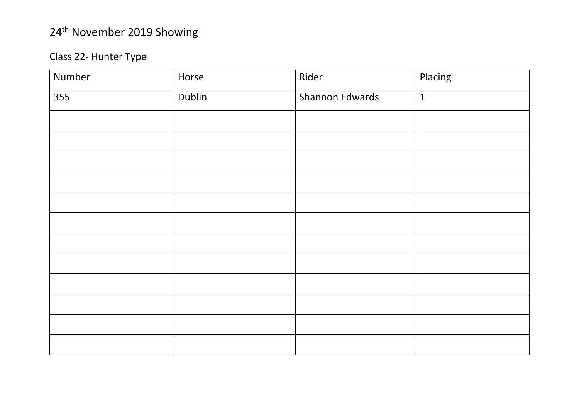#### Class 22- Hunter Type

| Number | Horse  | Rider           | Placing      |
|--------|--------|-----------------|--------------|
| 355    | Dublin | Shannon Edwards | $\mathbf{1}$ |
|        |        |                 |              |
|        |        |                 |              |
|        |        |                 |              |
|        |        |                 |              |
|        |        |                 |              |
|        |        |                 |              |
|        |        |                 |              |
|        |        |                 |              |
|        |        |                 |              |
|        |        |                 |              |
|        |        |                 |              |
|        |        |                 |              |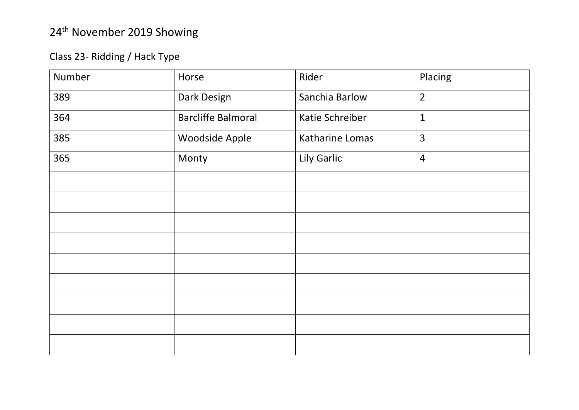#### Class 23- Ridding / Hack Type

| Number | Horse                     | Rider           | Placing        |
|--------|---------------------------|-----------------|----------------|
| 389    | Dark Design               | Sanchia Barlow  | $\overline{2}$ |
| 364    | <b>Barcliffe Balmoral</b> | Katie Schreiber | $\mathbf{1}$   |
| 385    | Woodside Apple            | Katharine Lomas | $\overline{3}$ |
| 365    | Monty                     | Lily Garlic     | $\overline{4}$ |
|        |                           |                 |                |
|        |                           |                 |                |
|        |                           |                 |                |
|        |                           |                 |                |
|        |                           |                 |                |
|        |                           |                 |                |
|        |                           |                 |                |
|        |                           |                 |                |
|        |                           |                 |                |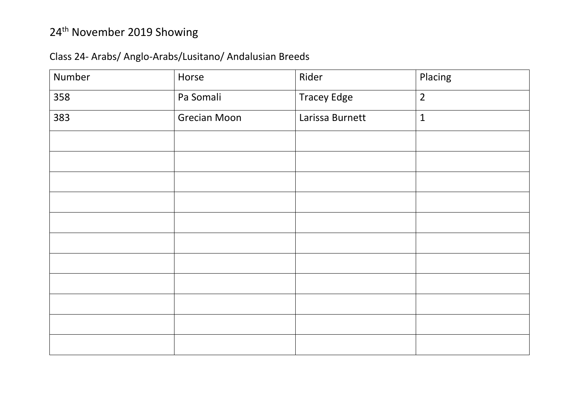#### Class 24- Arabs/ Anglo-Arabs/Lusitano/ Andalusian Breeds

| Number | Horse               | Rider              | Placing        |  |
|--------|---------------------|--------------------|----------------|--|
| 358    | Pa Somali           | <b>Tracey Edge</b> | $\overline{2}$ |  |
| 383    | <b>Grecian Moon</b> | Larissa Burnett    | $\mathbf{1}$   |  |
|        |                     |                    |                |  |
|        |                     |                    |                |  |
|        |                     |                    |                |  |
|        |                     |                    |                |  |
|        |                     |                    |                |  |
|        |                     |                    |                |  |
|        |                     |                    |                |  |
|        |                     |                    |                |  |
|        |                     |                    |                |  |
|        |                     |                    |                |  |
|        |                     |                    |                |  |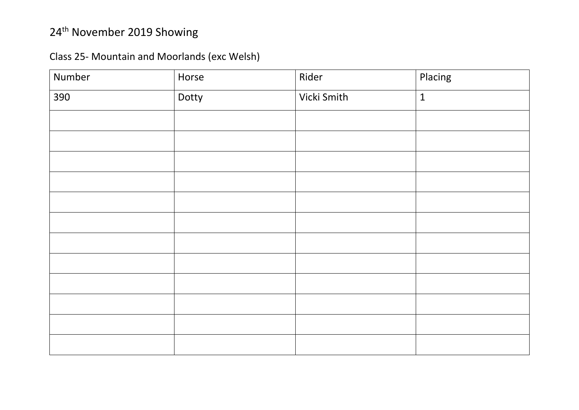Class 25- Mountain and Moorlands (exc Welsh)

| Number | Horse | Rider       | Placing      |
|--------|-------|-------------|--------------|
| 390    | Dotty | Vicki Smith | $\mathbf{1}$ |
|        |       |             |              |
|        |       |             |              |
|        |       |             |              |
|        |       |             |              |
|        |       |             |              |
|        |       |             |              |
|        |       |             |              |
|        |       |             |              |
|        |       |             |              |
|        |       |             |              |
|        |       |             |              |
|        |       |             |              |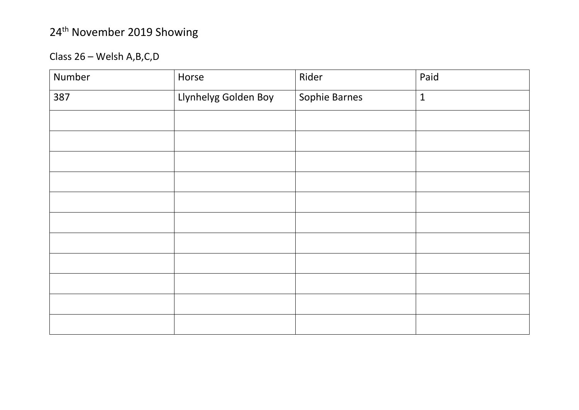Class 26 – Welsh A,B,C,D

| Number | Horse                | Rider         | Paid         |
|--------|----------------------|---------------|--------------|
| 387    | Llynhelyg Golden Boy | Sophie Barnes | $\mathbf{1}$ |
|        |                      |               |              |
|        |                      |               |              |
|        |                      |               |              |
|        |                      |               |              |
|        |                      |               |              |
|        |                      |               |              |
|        |                      |               |              |
|        |                      |               |              |
|        |                      |               |              |
|        |                      |               |              |
|        |                      |               |              |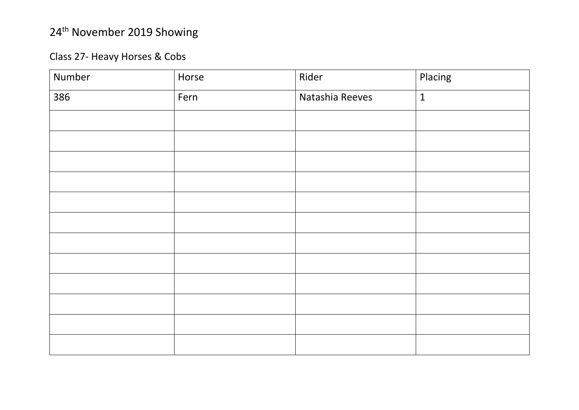#### Class 27- Heavy Horses & Cobs

| Number | Horse | Rider           | Placing      |
|--------|-------|-----------------|--------------|
| 386    | Fern  | Natashia Reeves | $\mathbf{1}$ |
|        |       |                 |              |
|        |       |                 |              |
|        |       |                 |              |
|        |       |                 |              |
|        |       |                 |              |
|        |       |                 |              |
|        |       |                 |              |
|        |       |                 |              |
|        |       |                 |              |
|        |       |                 |              |
|        |       |                 |              |
|        |       |                 |              |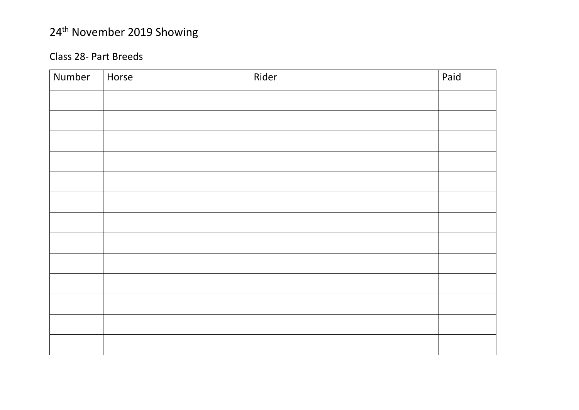#### Class 2 8 - Part Breeds

| Number | Horse | Rider | Paid |
|--------|-------|-------|------|
|        |       |       |      |
|        |       |       |      |
|        |       |       |      |
|        |       |       |      |
|        |       |       |      |
|        |       |       |      |
|        |       |       |      |
|        |       |       |      |
|        |       |       |      |
|        |       |       |      |
|        |       |       |      |
|        |       |       |      |
|        |       |       |      |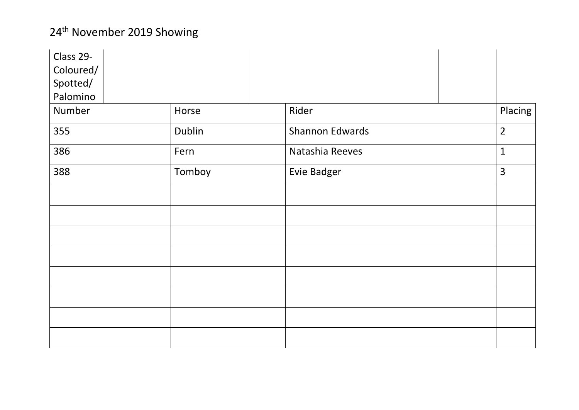| Class 29- |        |                        |                |
|-----------|--------|------------------------|----------------|
| Coloured/ |        |                        |                |
| Spotted/  |        |                        |                |
| Palomino  |        |                        |                |
| Number    | Horse  | Rider                  | Placing        |
| 355       | Dublin | <b>Shannon Edwards</b> | $\overline{2}$ |
| 386       | Fern   | Natashia Reeves        | $\mathbf{1}$   |
| 388       | Tomboy | <b>Evie Badger</b>     | $\overline{3}$ |
|           |        |                        |                |
|           |        |                        |                |
|           |        |                        |                |
|           |        |                        |                |
|           |        |                        |                |
|           |        |                        |                |
|           |        |                        |                |
|           |        |                        |                |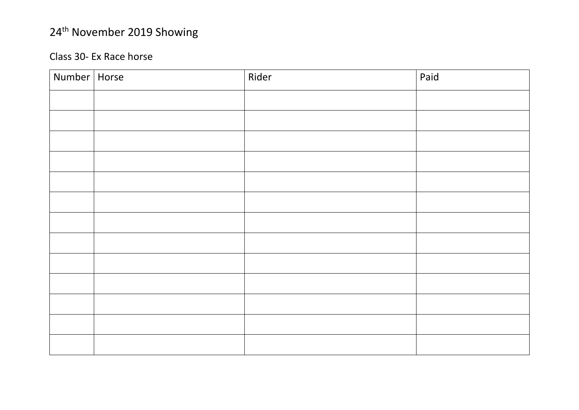#### Class 30 - Ex Race hors e

| Number   Horse | Rider | Paid |
|----------------|-------|------|
|                |       |      |
|                |       |      |
|                |       |      |
|                |       |      |
|                |       |      |
|                |       |      |
|                |       |      |
|                |       |      |
|                |       |      |
|                |       |      |
|                |       |      |
|                |       |      |
|                |       |      |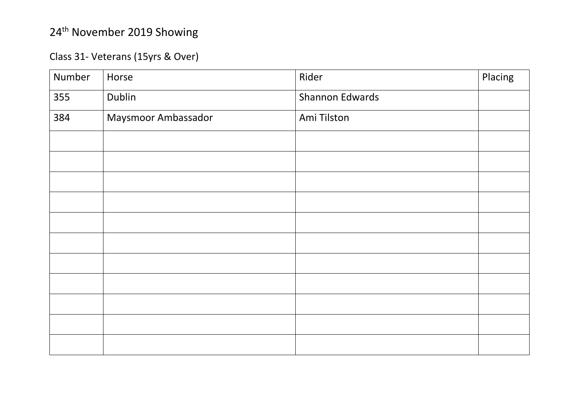#### Class 31- Veterans (15yrs & Over)

| Number | Horse               | Rider           | Placing |
|--------|---------------------|-----------------|---------|
| 355    | Dublin              | Shannon Edwards |         |
| 384    | Maysmoor Ambassador | Ami Tilston     |         |
|        |                     |                 |         |
|        |                     |                 |         |
|        |                     |                 |         |
|        |                     |                 |         |
|        |                     |                 |         |
|        |                     |                 |         |
|        |                     |                 |         |
|        |                     |                 |         |
|        |                     |                 |         |
|        |                     |                 |         |
|        |                     |                 |         |